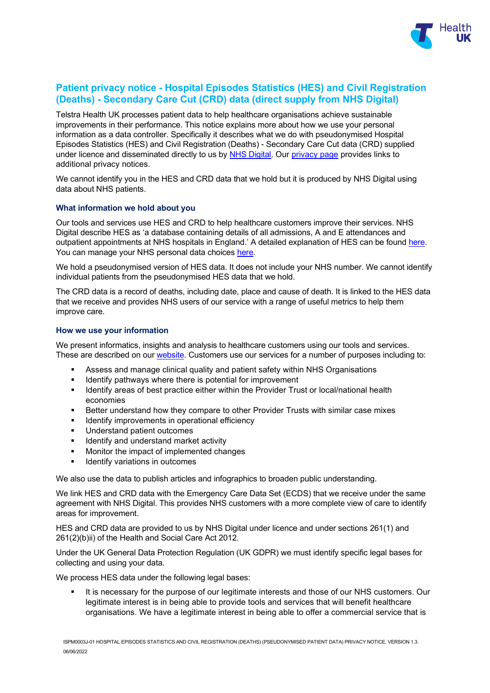

# **Patient privacy notice - Hospital Episodes Statistics (HES) and Civil Registration (Deaths) - Secondary Care Cut (CRD) data (direct supply from NHS Digital)**

Telstra Health UK processes patient data to help healthcare organisations achieve sustainable improvements in their performance. This notice explains more about how we use your personal information as a data controller. Specifically it describes what we do with pseudonymised Hospital Episodes Statistics (HES) and Civil Registration (Deaths) - Secondary Care Cut data (CRD) supplied under licence and disseminated directly to us by [NHS Digital.](https://digital.nhs.uk/home) Our [privacy page](https://telstrahealth.co.uk/privacy/) provides links to additional privacy notices.

We cannot identify you in the HES and CRD data that we hold but it is produced by NHS Digital using data about NHS patients.

## **What information we hold about you**

Our tools and services use HES and CRD to help healthcare customers improve their services. NHS Digital describe HES as 'a database containing details of all admissions, A and E attendances and outpatient appointments at NHS hospitals in England.' A detailed explanation of HES can be found [here.](https://digital.nhs.uk/data-and-information/data-tools-and-services/data-services/hospital-episode-statistics) You can manage your NHS personal data choices [here.](https://www.nhs.uk/your-nhs-data-matters/manage-your-choice/)

We hold a pseudonymised version of HES data. It does not include your NHS number. We cannot identify individual patients from the pseudonymised HES data that we hold.

The CRD data is a record of deaths, including date, place and cause of death. It is linked to the HES data that we receive and provides NHS users of our service with a range of useful metrics to help them improve care.

### **How we use your information**

We present informatics, insights and analysis to healthcare customers using our tools and services. These are described on our [website.](http://www.telstrahealth.co.uk/) Customers use our services for a number of purposes including to:

- Assess and manage clinical quality and patient safety within NHS Organisations
- Identify pathways where there is potential for improvement
- **IDENTIFY Areas of best practice either within the Provider Trust or local/national health** economies
- Better understand how they compare to other Provider Trusts with similar case mixes
- **IDENTIFY IMPROVEMENTS IN OPERATIONAL Efficiency**
- **Understand patient outcomes**
- **IDENTIFY AND UNDER** Identify and understand market activity
- **Monitor the impact of implemented changes**
- Identify variations in outcomes

We also use the data to publish articles and infographics to broaden public understanding.

We link HES and CRD data with the Emergency Care Data Set (ECDS) that we receive under the same agreement with NHS Digital. This provides NHS customers with a more complete view of care to identify areas for improvement.

HES and CRD data are provided to us by NHS Digital under licence and under sections 261(1) and 261(2)(b)ii) of the Health and Social Care Act 2012.

Under the UK General Data Protection Regulation (UK GDPR) we must identify specific legal bases for collecting and using your data.

We process HES data under the following legal bases:

 It is necessary for the purpose of our legitimate interests and those of our NHS customers. Our legitimate interest is in being able to provide tools and services that will benefit healthcare organisations. We have a legitimate interest in being able to offer a commercial service that is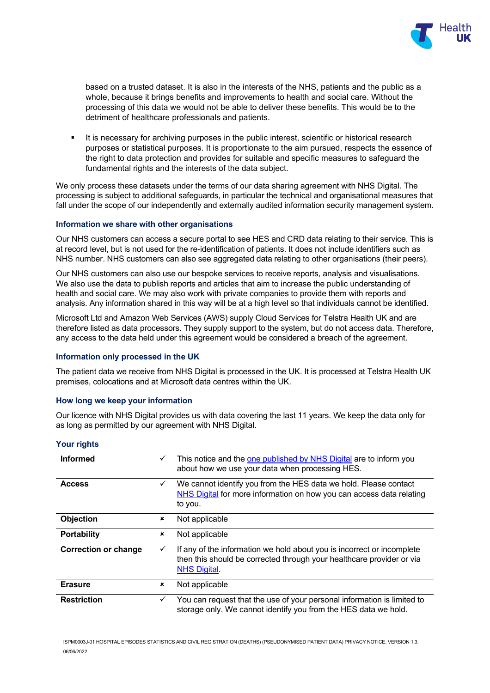

based on a trusted dataset. It is also in the interests of the NHS, patients and the public as a whole, because it brings benefits and improvements to health and social care. Without the processing of this data we would not be able to deliver these benefits. This would be to the detriment of healthcare professionals and patients.

 It is necessary for archiving purposes in the public interest, scientific or historical research purposes or statistical purposes. It is proportionate to the aim pursued, respects the essence of the right to data protection and provides for suitable and specific measures to safeguard the fundamental rights and the interests of the data subject.

We only process these datasets under the terms of our data sharing agreement with NHS Digital. The processing is subject to additional safeguards, in particular the technical and organisational measures that fall under the scope of our independently and externally audited information security management system.

### **Information we share with other organisations**

Our NHS customers can access a secure portal to see HES and CRD data relating to their service. This is at record level, but is not used for the re-identification of patients. It does not include identifiers such as NHS number. NHS customers can also see aggregated data relating to other organisations (their peers).

Our NHS customers can also use our bespoke services to receive reports, analysis and visualisations. We also use the data to publish reports and articles that aim to increase the public understanding of health and social care. We may also work with private companies to provide them with reports and analysis. Any information shared in this way will be at a high level so that individuals cannot be identified.

Microsoft Ltd and Amazon Web Services (AWS) supply Cloud Services for Telstra Health UK and are therefore listed as data processors. They supply support to the system, but do not access data. Therefore, any access to the data held under this agreement would be considered a breach of the agreement.

### **Information only processed in the UK**

The patient data we receive from NHS Digital is processed in the UK. It is processed at Telstra Health UK premises, colocations and at Microsoft data centres within the UK.

### **How long we keep your information**

Our licence with NHS Digital provides us with data covering the last 11 years. We keep the data only for as long as permitted by our agreement with NHS Digital.

### **Your rights**

| <b>Informed</b>             | $\checkmark$ | This notice and the one published by NHS Digital are to inform you<br>about how we use your data when processing HES.                                                  |
|-----------------------------|--------------|------------------------------------------------------------------------------------------------------------------------------------------------------------------------|
| <b>Access</b>               | $\checkmark$ | We cannot identify you from the HES data we hold. Please contact<br>NHS Digital for more information on how you can access data relating<br>to you.                    |
| Objection                   | ×            | Not applicable                                                                                                                                                         |
| <b>Portability</b>          | ×            | Not applicable                                                                                                                                                         |
| <b>Correction or change</b> | $\checkmark$ | If any of the information we hold about you is incorrect or incomplete<br>then this should be corrected through your healthcare provider or via<br><b>NHS Digital.</b> |
| <b>Erasure</b>              | ×            | Not applicable                                                                                                                                                         |
| <b>Restriction</b>          | $\checkmark$ | You can request that the use of your personal information is limited to<br>storage only. We cannot identify you from the HES data we hold.                             |